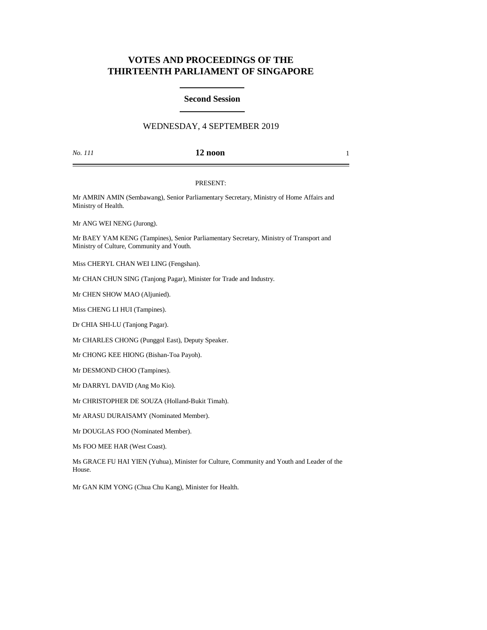# **VOTES AND PROCEEDINGS OF THE THIRTEENTH PARLIAMENT OF SINGAPORE**

### **Second Session**

## WEDNESDAY, 4 SEPTEMBER 2019

*No. 111* **12 noon** 1

#### PRESENT:

Mr AMRIN AMIN (Sembawang), Senior Parliamentary Secretary, Ministry of Home Affairs and Ministry of Health.

Mr ANG WEI NENG (Jurong).

Mr BAEY YAM KENG (Tampines), Senior Parliamentary Secretary, Ministry of Transport and Ministry of Culture, Community and Youth.

Miss CHERYL CHAN WEI LING (Fengshan).

Mr CHAN CHUN SING (Tanjong Pagar), Minister for Trade and Industry.

Mr CHEN SHOW MAO (Aljunied).

Miss CHENG LI HUI (Tampines).

Dr CHIA SHI-LU (Tanjong Pagar).

Mr CHARLES CHONG (Punggol East), Deputy Speaker.

Mr CHONG KEE HIONG (Bishan-Toa Payoh).

Mr DESMOND CHOO (Tampines).

Mr DARRYL DAVID (Ang Mo Kio).

Mr CHRISTOPHER DE SOUZA (Holland-Bukit Timah).

Mr ARASU DURAISAMY (Nominated Member).

Mr DOUGLAS FOO (Nominated Member).

Ms FOO MEE HAR (West Coast).

Ms GRACE FU HAI YIEN (Yuhua), Minister for Culture, Community and Youth and Leader of the House.

Mr GAN KIM YONG (Chua Chu Kang), Minister for Health.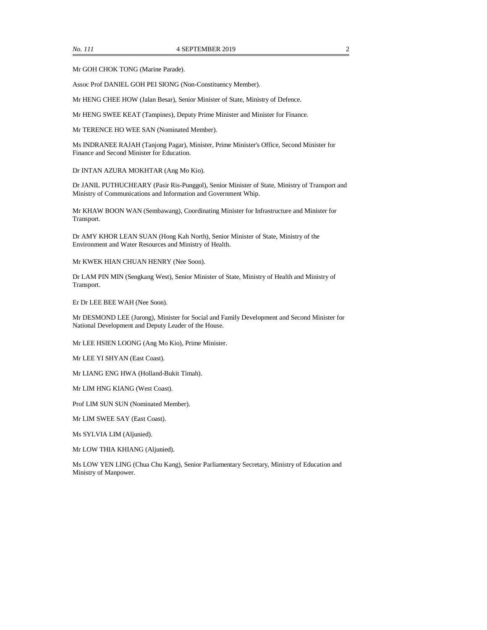Mr GOH CHOK TONG (Marine Parade).

Assoc Prof DANIEL GOH PEI SIONG (Non-Constituency Member).

Mr HENG CHEE HOW (Jalan Besar), Senior Minister of State, Ministry of Defence.

Mr HENG SWEE KEAT (Tampines), Deputy Prime Minister and Minister for Finance.

Mr TERENCE HO WEE SAN (Nominated Member).

Ms INDRANEE RAJAH (Tanjong Pagar), Minister, Prime Minister's Office, Second Minister for Finance and Second Minister for Education.

Dr INTAN AZURA MOKHTAR (Ang Mo Kio).

Dr JANIL PUTHUCHEARY (Pasir Ris-Punggol), Senior Minister of State, Ministry of Transport and Ministry of Communications and Information and Government Whip.

Mr KHAW BOON WAN (Sembawang), Coordinating Minister for Infrastructure and Minister for Transport.

Dr AMY KHOR LEAN SUAN (Hong Kah North), Senior Minister of State, Ministry of the Environment and Water Resources and Ministry of Health.

Mr KWEK HIAN CHUAN HENRY (Nee Soon).

Dr LAM PIN MIN (Sengkang West), Senior Minister of State, Ministry of Health and Ministry of Transport.

Er Dr LEE BEE WAH (Nee Soon).

Mr DESMOND LEE (Jurong), Minister for Social and Family Development and Second Minister for National Development and Deputy Leader of the House.

Mr LEE HSIEN LOONG (Ang Mo Kio), Prime Minister.

Mr LEE YI SHYAN (East Coast).

Mr LIANG ENG HWA (Holland-Bukit Timah).

Mr LIM HNG KIANG (West Coast).

Prof LIM SUN SUN (Nominated Member).

Mr LIM SWEE SAY (East Coast).

Ms SYLVIA LIM (Aljunied).

Mr LOW THIA KHIANG (Aljunied).

Ms LOW YEN LING (Chua Chu Kang), Senior Parliamentary Secretary, Ministry of Education and Ministry of Manpower.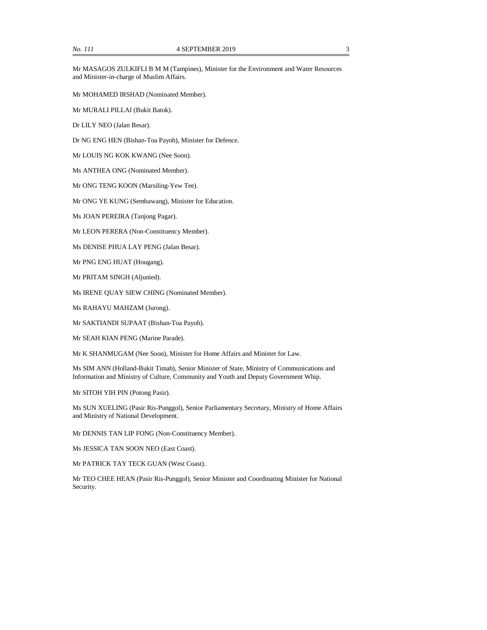Mr MASAGOS ZULKIFLI B M M (Tampines), Minister for the Environment and Water Resources and Minister-in-charge of Muslim Affairs.

Mr MOHAMED IRSHAD (Nominated Member).

Mr MURALI PILLAI (Bukit Batok).

Dr LILY NEO (Jalan Besar).

Dr NG ENG HEN (Bishan-Toa Payoh), Minister for Defence.

Mr LOUIS NG KOK KWANG (Nee Soon).

Ms ANTHEA ONG (Nominated Member).

Mr ONG TENG KOON (Marsiling-Yew Tee).

Mr ONG YE KUNG (Sembawang), Minister for Education.

Ms JOAN PEREIRA (Tanjong Pagar).

Mr LEON PERERA (Non-Constituency Member).

Ms DENISE PHUA LAY PENG (Jalan Besar).

Mr PNG ENG HUAT (Hougang).

Mr PRITAM SINGH (Aljunied).

Ms IRENE QUAY SIEW CHING (Nominated Member).

Ms RAHAYU MAHZAM (Jurong).

Mr SAKTIANDI SUPAAT (Bishan-Toa Payoh).

Mr SEAH KIAN PENG (Marine Parade).

Mr K SHANMUGAM (Nee Soon), Minister for Home Affairs and Minister for Law.

Ms SIM ANN (Holland-Bukit Timah), Senior Minister of State, Ministry of Communications and Information and Ministry of Culture, Community and Youth and Deputy Government Whip.

Mr SITOH YIH PIN (Potong Pasir).

Ms SUN XUELING (Pasir Ris-Punggol), Senior Parliamentary Secretary, Ministry of Home Affairs and Ministry of National Development.

Mr DENNIS TAN LIP FONG (Non-Constituency Member).

Ms JESSICA TAN SOON NEO (East Coast).

Mr PATRICK TAY TECK GUAN (West Coast).

Mr TEO CHEE HEAN (Pasir Ris-Punggol), Senior Minister and Coordinating Minister for National Security.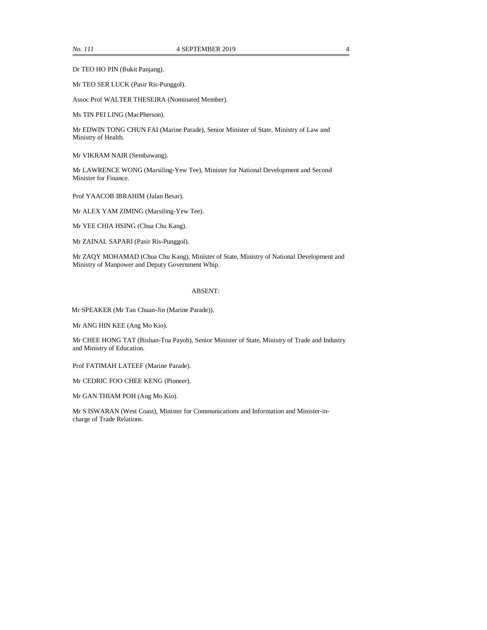Dr TEO HO PIN (Bukit Panjang).

Mr TEO SER LUCK (Pasir Ris-Punggol).

Assoc Prof WALTER THESEIRA (Nominated Member).

Ms TIN PEI LING (MacPherson).

Mr EDWIN TONG CHUN FAI (Marine Parade), Senior Minister of State, Ministry of Law and Ministry of Health.

Mr VIKRAM NAIR (Sembawang).

Mr LAWRENCE WONG (Marsiling-Yew Tee), Minister for National Development and Second Minister for Finance.

Prof YAACOB IBRAHIM (Jalan Besar).

Mr ALEX YAM ZIMING (Marsiling-Yew Tee).

Mr YEE CHIA HSING (Chua Chu Kang).

Mr ZAINAL SAPARI (Pasir Ris-Punggol).

Mr ZAQY MOHAMAD (Chua Chu Kang), Minister of State, Ministry of National Development and Ministry of Manpower and Deputy Government Whip.

#### ABSENT:

Mr SPEAKER (Mr Tan Chuan-Jin (Marine Parade)).

Mr ANG HIN KEE (Ang Mo Kio).

Mr CHEE HONG TAT (Bishan-Toa Payoh), Senior Minister of State, Ministry of Trade and Industry and Ministry of Education.

Prof FATIMAH LATEEF (Marine Parade).

Mr CEDRIC FOO CHEE KENG (Pioneer).

Mr GAN THIAM POH (Ang Mo Kio).

Mr S ISWARAN (West Coast), Minister for Communications and Information and Minister-incharge of Trade Relations.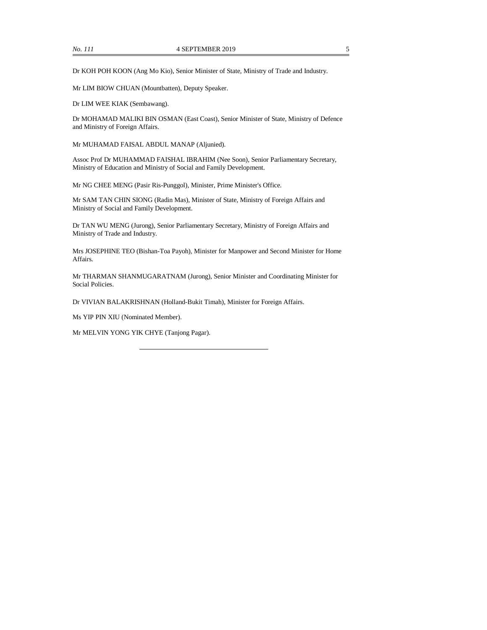Dr KOH POH KOON (Ang Mo Kio), Senior Minister of State, Ministry of Trade and Industry.

Mr LIM BIOW CHUAN (Mountbatten), Deputy Speaker.

Dr LIM WEE KIAK (Sembawang).

Dr MOHAMAD MALIKI BIN OSMAN (East Coast), Senior Minister of State, Ministry of Defence and Ministry of Foreign Affairs.

Mr MUHAMAD FAISAL ABDUL MANAP (Aljunied).

Assoc Prof Dr MUHAMMAD FAISHAL IBRAHIM (Nee Soon), Senior Parliamentary Secretary, Ministry of Education and Ministry of Social and Family Development.

Mr NG CHEE MENG (Pasir Ris-Punggol), Minister, Prime Minister's Office.

Mr SAM TAN CHIN SIONG (Radin Mas), Minister of State, Ministry of Foreign Affairs and Ministry of Social and Family Development.

Dr TAN WU MENG (Jurong), Senior Parliamentary Secretary, Ministry of Foreign Affairs and Ministry of Trade and Industry.

Mrs JOSEPHINE TEO (Bishan-Toa Payoh), Minister for Manpower and Second Minister for Home Affairs.

Mr THARMAN SHANMUGARATNAM (Jurong), Senior Minister and Coordinating Minister for Social Policies.

Dr VIVIAN BALAKRISHNAN (Holland-Bukit Timah), Minister for Foreign Affairs.

Ms YIP PIN XIU (Nominated Member).

Mr MELVIN YONG YIK CHYE (Tanjong Pagar).